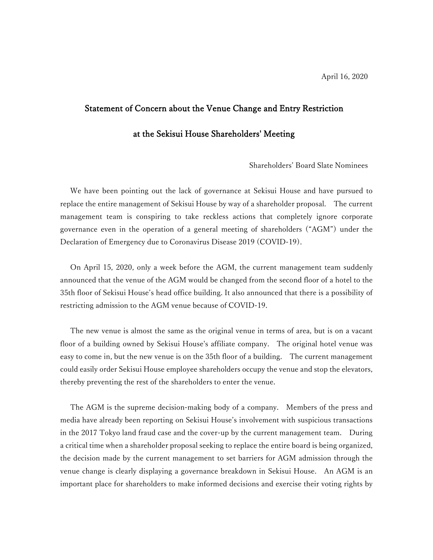## Statement of Concern about the Venue Change and Entry Restriction

## at the Sekisui House Shareholders' Meeting

Shareholders' Board Slate Nominees

We have been pointing out the lack of governance at Sekisui House and have pursued to replace the entire management of Sekisui House by way of a shareholder proposal. The current management team is conspiring to take reckless actions that completely ignore corporate governance even in the operation of a general meeting of shareholders ("AGM") under the Declaration of Emergency due to Coronavirus Disease 2019 (COVID-19).

On April 15, 2020, only a week before the AGM, the current management team suddenly announced that the venue of the AGM would be changed from the second floor of a hotel to the 35th floor of Sekisui House's head office building. It also announced that there is a possibility of restricting admission to the AGM venue because of COVID-19.

The new venue is almost the same as the original venue in terms of area, but is on a vacant floor of a building owned by Sekisui House's affiliate company. The original hotel venue was easy to come in, but the new venue is on the 35th floor of a building. The current management could easily order Sekisui House employee shareholders occupy the venue and stop the elevators, thereby preventing the rest of the shareholders to enter the venue.

The AGM is the supreme decision-making body of a company. Members of the press and media have already been reporting on Sekisui House's involvement with suspicious transactions in the 2017 Tokyo land fraud case and the cover-up by the current management team. During a critical time when a shareholder proposal seeking to replace the entire board is being organized, the decision made by the current management to set barriers for AGM admission through the venue change is clearly displaying a governance breakdown in Sekisui House. An AGM is an important place for shareholders to make informed decisions and exercise their voting rights by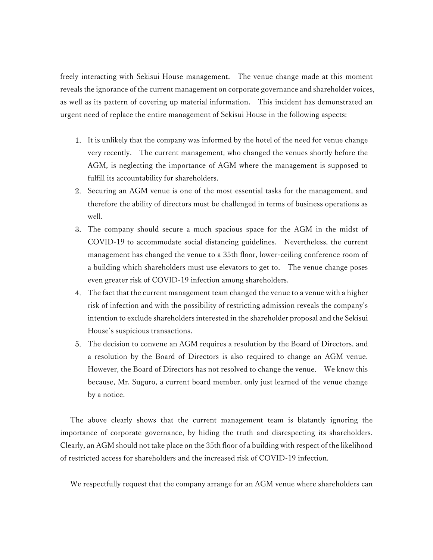freely interacting with Sekisui House management. The venue change made at this moment reveals the ignorance of the current management on corporate governance and shareholder voices, as well as its pattern of covering up material information. This incident has demonstrated an urgent need of replace the entire management of Sekisui House in the following aspects:

- 1. It is unlikely that the company was informed by the hotel of the need for venue change very recently. The current management, who changed the venues shortly before the AGM, is neglecting the importance of AGM where the management is supposed to fulfill its accountability for shareholders.
- 2. Securing an AGM venue is one of the most essential tasks for the management, and therefore the ability of directors must be challenged in terms of business operations as well.
- 3. The company should secure a much spacious space for the AGM in the midst of COVID-19 to accommodate social distancing guidelines. Nevertheless, the current management has changed the venue to a 35th floor, lower-ceiling conference room of a building which shareholders must use elevators to get to. The venue change poses even greater risk of COVID-19 infection among shareholders.
- 4. The fact that the current management team changed the venue to a venue with a higher risk of infection and with the possibility of restricting admission reveals the company's intention to exclude shareholders interested in the shareholder proposal and the Sekisui House's suspicious transactions.
- 5. The decision to convene an AGM requires a resolution by the Board of Directors, and a resolution by the Board of Directors is also required to change an AGM venue. However, the Board of Directors has not resolved to change the venue. We know this because, Mr. Suguro, a current board member, only just learned of the venue change by a notice.

The above clearly shows that the current management team is blatantly ignoring the importance of corporate governance, by hiding the truth and disrespecting its shareholders. Clearly, an AGM should not take place on the 35th floor of a building with respect of the likelihood of restricted access for shareholders and the increased risk of COVID-19 infection.

We respectfully request that the company arrange for an AGM venue where shareholders can